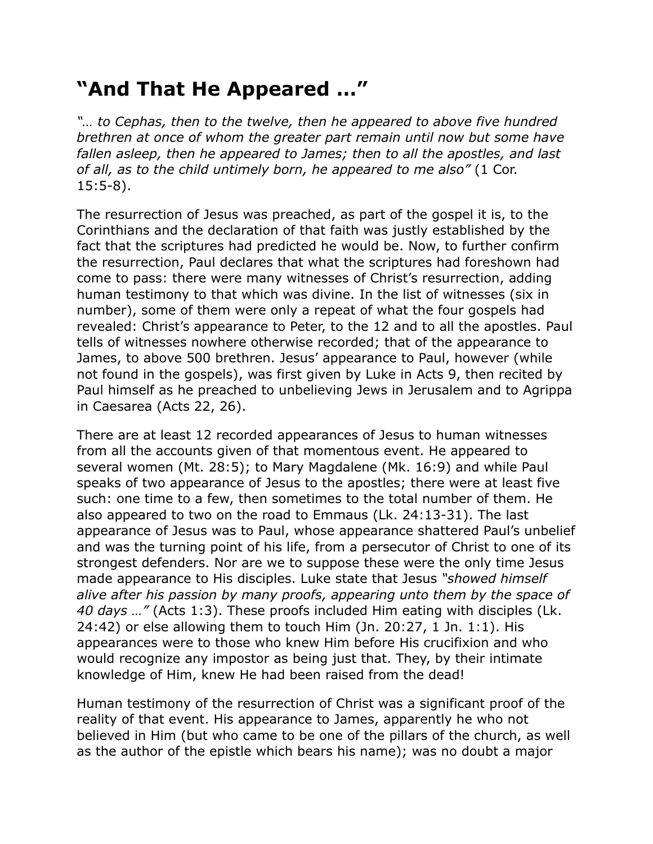## **"And That He Appeared …"**

*"… to Cephas, then to the twelve, then he appeared to above five hundred brethren at once of whom the greater part remain until now but some have fallen asleep, then he appeared to James; then to all the apostles, and last of all, as to the child untimely born, he appeared to me also"* (1 Cor. 15:5-8).

The resurrection of Jesus was preached, as part of the gospel it is, to the Corinthians and the declaration of that faith was justly established by the fact that the scriptures had predicted he would be. Now, to further confirm the resurrection, Paul declares that what the scriptures had foreshown had come to pass: there were many witnesses of Christ's resurrection, adding human testimony to that which was divine. In the list of witnesses (six in number), some of them were only a repeat of what the four gospels had revealed: Christ's appearance to Peter, to the 12 and to all the apostles. Paul tells of witnesses nowhere otherwise recorded; that of the appearance to James, to above 500 brethren. Jesus' appearance to Paul, however (while not found in the gospels), was first given by Luke in Acts 9, then recited by Paul himself as he preached to unbelieving Jews in Jerusalem and to Agrippa in Caesarea (Acts 22, 26).

There are at least 12 recorded appearances of Jesus to human witnesses from all the accounts given of that momentous event. He appeared to several women (Mt. 28:5); to Mary Magdalene (Mk. 16:9) and while Paul speaks of two appearance of Jesus to the apostles; there were at least five such: one time to a few, then sometimes to the total number of them. He also appeared to two on the road to Emmaus (Lk. 24:13-31). The last appearance of Jesus was to Paul, whose appearance shattered Paul's unbelief and was the turning point of his life, from a persecutor of Christ to one of its strongest defenders. Nor are we to suppose these were the only time Jesus made appearance to His disciples. Luke state that Jesus *"showed himself alive after his passion by many proofs, appearing unto them by the space of 40 days …"* (Acts 1:3). These proofs included Him eating with disciples (Lk. 24:42) or else allowing them to touch Him (Jn. 20:27, 1 Jn. 1:1). His appearances were to those who knew Him before His crucifixion and who would recognize any impostor as being just that. They, by their intimate knowledge of Him, knew He had been raised from the dead!

Human testimony of the resurrection of Christ was a significant proof of the reality of that event. His appearance to James, apparently he who not believed in Him (but who came to be one of the pillars of the church, as well as the author of the epistle which bears his name); was no doubt a major